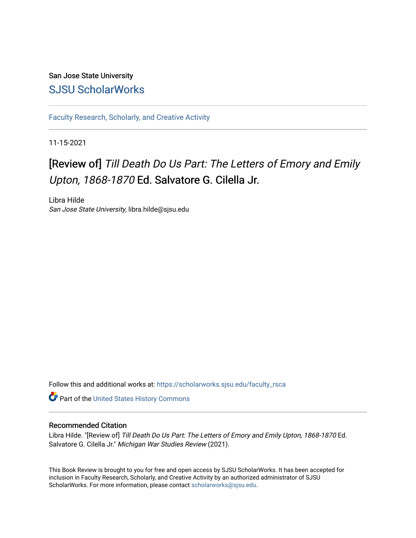## San Jose State University [SJSU ScholarWorks](https://scholarworks.sjsu.edu/)

[Faculty Research, Scholarly, and Creative Activity](https://scholarworks.sjsu.edu/faculty_rsca)

11-15-2021

## [Review of] Till Death Do Us Part: The Letters of Emory and Emily Upton, 1868-1870 Ed. Salvatore G. Cilella Jr.

Libra Hilde San Jose State University, libra.hilde@sjsu.edu

Follow this and additional works at: [https://scholarworks.sjsu.edu/faculty\\_rsca](https://scholarworks.sjsu.edu/faculty_rsca?utm_source=scholarworks.sjsu.edu%2Ffaculty_rsca%2F739&utm_medium=PDF&utm_campaign=PDFCoverPages) 

Part of the [United States History Commons](https://network.bepress.com/hgg/discipline/495?utm_source=scholarworks.sjsu.edu%2Ffaculty_rsca%2F739&utm_medium=PDF&utm_campaign=PDFCoverPages) 

## Recommended Citation

Libra Hilde. "[Review of] Till Death Do Us Part: The Letters of Emory and Emily Upton, 1868-1870 Ed. Salvatore G. Cilella Jr." Michigan War Studies Review (2021).

This Book Review is brought to you for free and open access by SJSU ScholarWorks. It has been accepted for inclusion in Faculty Research, Scholarly, and Creative Activity by an authorized administrator of SJSU ScholarWorks. For more information, please contact [scholarworks@sjsu.edu](mailto:scholarworks@sjsu.edu).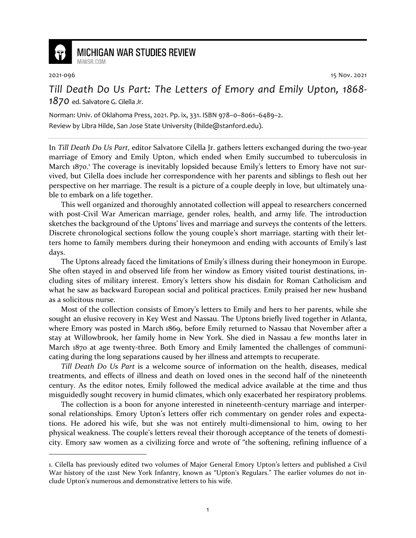

## **MICHIGAN WAR STUDIES REVIEW**

MiWSR COM

2021-096 15 Nov. 2021

*Till Death Do Us Part: The Letters of Emory and Emily Upton, 1868- 1870* ed. Salvatore G. Cilella Jr.

Norman: Univ. of Oklahoma Press, 2021. Pp. ix, 331. ISBN 978–0–8061–6489–2. Review by Libra Hilde, San Jose State University (lhilde@stanford.edu).

In *Till Death Do Us Part*, editor Salvatore Cilella Jr. gathers letters exchanged during the two-year marriage of Emory and Emily Upton, which ended when Emily succumbed to tuberculosis in March 1870.<sup>1</sup> The coverage is inevitably lopsided because Emily's letters to Emory have not survived, but Cilella does include her correspondence with her parents and siblings to flesh out her perspective on her marriage. The result is a picture of a couple deeply in love, but ultimately unable to embark on a life together.

This well organized and thoroughly annotated collection will appeal to researchers concerned with post-Civil War American marriage, gender roles, health, and army life. The introduction sketches the background of the Uptons' lives and marriage and surveys the contents of the letters. Discrete chronological sections follow the young couple's short marriage, starting with their letters home to family members during their honeymoon and ending with accounts of Emily's last days.

The Uptons already faced the limitations of Emily's illness during their honeymoon in Europe. She often stayed in and observed life from her window as Emory visited tourist destinations, including sites of military interest. Emory's letters show his disdain for Roman Catholicism and what he saw as backward European social and political practices. Emily praised her new husband as a solicitous nurse.

Most of the collection consists of Emory's letters to Emily and hers to her parents, while she sought an elusive recovery in Key West and Nassau. The Uptons briefly lived together in Atlanta, where Emory was posted in March 1869, before Emily returned to Nassau that November after a stay at Willowbrook, her family home in New York. She died in Nassau a few months later in March 1870 at age twenty-three. Both Emory and Emily lamented the challenges of communicating during the long separations caused by her illness and attempts to recuperate.

*Till Death Do Us Part* is a welcome source of information on the health, diseases, medical treatments, and effects of illness and death on loved ones in the second half of the nineteenth century. As the editor notes, Emily followed the medical advice available at the time and thus misguidedly sought recovery in humid climates, which only exacerbated her respiratory problems.

The collection is a boon for anyone interested in nineteenth-century marriage and interpersonal relationships. Emory Upton's letters offer rich commentary on gender roles and expectations. He adored his wife, but she was not entirely multi-dimensional to him, owing to her physical weakness. The couple's letters reveal their thorough acceptance of the tenets of domesticity. Emory saw women as a civilizing force and wrote of "the softening, refining influence of a

<sup>1.</sup> Cilella has previously edited two volumes of Major General Emory Upton's letters and published a Civil War history of the 121st New York Infantry, known as "Upton's Regulars." The earlier volumes do not include Upton's numerous and demonstrative letters to his wife.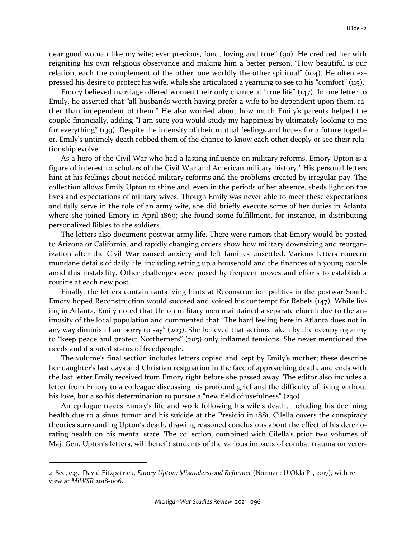dear good woman like my wife; ever precious, fond, loving and true" (90). He credited her with reigniting his own religious observance and making him a better person. "How beautiful is our relation, each the complement of the other, one worldly the other spiritual" (104). He often expressed his desire to protect his wife, while she articulated a yearning to see to his "comfort" (115).

Emory believed marriage offered women their only chance at "true life" (147). In one letter to Emily, he asserted that "all husbands worth having prefer a wife to be dependent upon them, rather than independent of them." He also worried about how much Emily's parents helped the couple financially, adding "I am sure you would study my happiness by ultimately looking to me for everything" (139). Despite the intensity of their mutual feelings and hopes for a future together, Emily's untimely death robbed them of the chance to know each other deeply or see their relationship evolve.

As a hero of the Civil War who had a lasting influence on military reforms, Emory Upton is a figure of interest to scholars of the Civil War and American military history.<sup>2</sup> His personal letters hint at his feelings about needed military reforms and the problems created by irregular pay. The collection allows Emily Upton to shine and, even in the periods of her absence, sheds light on the lives and expectations of military wives. Though Emily was never able to meet these expectations and fully serve in the role of an army wife, she did briefly execute some of her duties in Atlanta where she joined Emory in April 1869; she found some fulfillment, for instance, in distributing personalized Bibles to the soldiers.

The letters also document postwar army life. There were rumors that Emory would be posted to Arizona or California, and rapidly changing orders show how military downsizing and reorganization after the Civil War caused anxiety and left families unsettled. Various letters concern mundane details of daily life, including setting up a household and the finances of a young couple amid this instability. Other challenges were posed by frequent moves and efforts to establish a routine at each new post.

Finally, the letters contain tantalizing hints at Reconstruction politics in the postwar South. Emory hoped Reconstruction would succeed and voiced his contempt for Rebels (147). While living in Atlanta, Emily noted that Union military men maintained a separate church due to the animosity of the local population and commented that "The hard feeling here in Atlanta does not in any way diminish I am sorry to say" (203). She believed that actions taken by the occupying army to "keep peace and protect Northerners" (205) only inflamed tensions. She never mentioned the needs and disputed status of freedpeople.

The volume's final section includes letters copied and kept by Emily's mother; these describe her daughter's last days and Christian resignation in the face of approaching death, and ends with the last letter Emily received from Emory right before she passed away. The editor also includes a letter from Emory to a colleague discussing his profound grief and the difficulty of living without his love, but also his determination to pursue a "new field of usefulness" (230).

An epilogue traces Emory's life and work following his wife's death, including his declining health due to a sinus tumor and his suicide at the Presidio in 1881. Cilella covers the conspiracy theories surrounding Upton's death, drawing reasoned conclusions about the effect of his deteriorating health on his mental state. The collection, combined with Cilella's prior two volumes of Maj. Gen. Upton's letters, will benefit students of the various impacts of combat trauma on veter-

<sup>2.</sup> See, e.g., David Fitzpatrick, *Emory Upton: Misunderstood Reformer* (Norman: U Okla Pr, 2017), with review at *MiWSR* 2018-006.